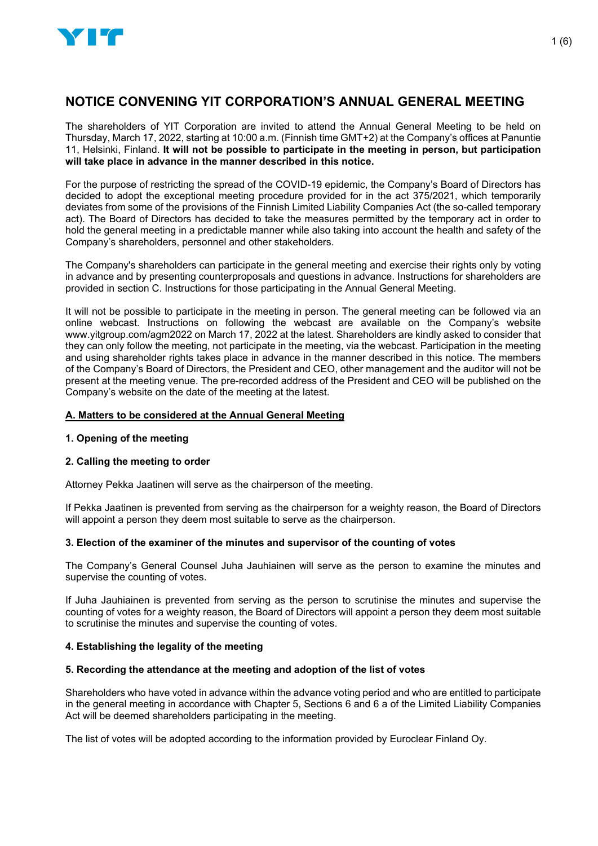

# **NOTICE CONVENING YIT CORPORATION'S ANNUAL GENERAL MEETING**

The shareholders of YIT Corporation are invited to attend the Annual General Meeting to be held on Thursday, March 17, 2022, starting at 10:00 a.m. (Finnish time GMT+2) at the Company's offices at Panuntie 11, Helsinki, Finland. **It will not be possible to participate in the meeting in person, but participation will take place in advance in the manner described in this notice.**

For the purpose of restricting the spread of the COVID-19 epidemic, the Company's Board of Directors has decided to adopt the exceptional meeting procedure provided for in the act 375/2021, which temporarily deviates from some of the provisions of the Finnish Limited Liability Companies Act (the so-called temporary act). The Board of Directors has decided to take the measures permitted by the temporary act in order to hold the general meeting in a predictable manner while also taking into account the health and safety of the Company's shareholders, personnel and other stakeholders.

The Company's shareholders can participate in the general meeting and exercise their rights only by voting in advance and by presenting counterproposals and questions in advance. Instructions for shareholders are provided in section C. Instructions for those participating in the Annual General Meeting.

It will not be possible to participate in the meeting in person. The general meeting can be followed via an online webcast. Instructions on following the webcast are available on the Company's website www.yitgroup.com/agm2022 on March 17, 2022 at the latest. Shareholders are kindly asked to consider that they can only follow the meeting, not participate in the meeting, via the webcast. Participation in the meeting and using shareholder rights takes place in advance in the manner described in this notice. The members of the Company's Board of Directors, the President and CEO, other management and the auditor will not be present at the meeting venue. The pre-recorded address of the President and CEO will be published on the Company's website on the date of the meeting at the latest.

### **A. Matters to be considered at the Annual General Meeting**

# **1. Opening of the meeting**

# **2. Calling the meeting to order**

Attorney Pekka Jaatinen will serve as the chairperson of the meeting.

If Pekka Jaatinen is prevented from serving as the chairperson for a weighty reason, the Board of Directors will appoint a person they deem most suitable to serve as the chairperson.

# **3. Election of the examiner of the minutes and supervisor of the counting of votes**

The Company's General Counsel Juha Jauhiainen will serve as the person to examine the minutes and supervise the counting of votes.

If Juha Jauhiainen is prevented from serving as the person to scrutinise the minutes and supervise the counting of votes for a weighty reason, the Board of Directors will appoint a person they deem most suitable to scrutinise the minutes and supervise the counting of votes.

# **4. Establishing the legality of the meeting**

#### **5. Recording the attendance at the meeting and adoption of the list of votes**

Shareholders who have voted in advance within the advance voting period and who are entitled to participate in the general meeting in accordance with Chapter 5, Sections 6 and 6 a of the Limited Liability Companies Act will be deemed shareholders participating in the meeting.

The list of votes will be adopted according to the information provided by Euroclear Finland Oy.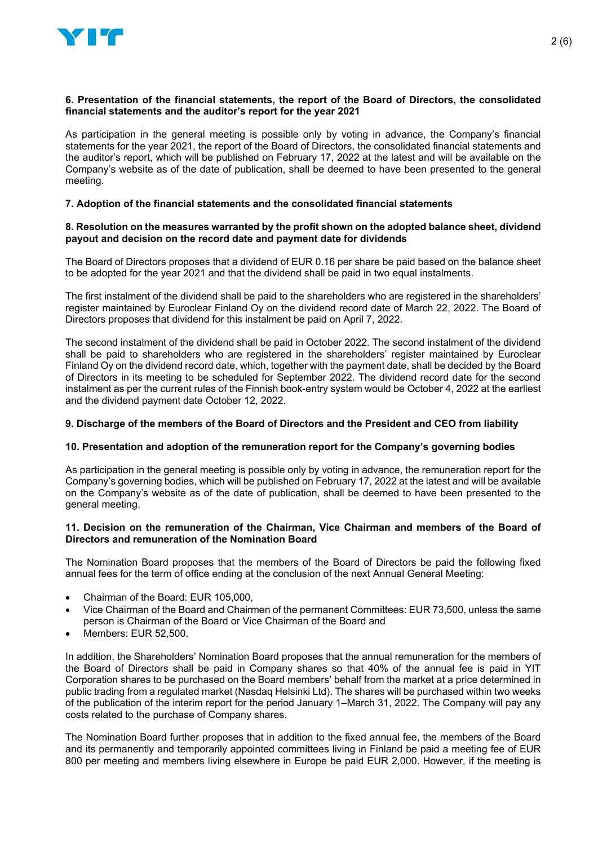

#### **6. Presentation of the financial statements, the report of the Board of Directors, the consolidated financial statements and the auditor's report for the year 2021**

As participation in the general meeting is possible only by voting in advance, the Company's financial statements for the year 2021, the report of the Board of Directors, the consolidated financial statements and the auditor's report, which will be published on February 17, 2022 at the latest and will be available on the Company's website as of the date of publication, shall be deemed to have been presented to the general meeting.

### **7. Adoption of the financial statements and the consolidated financial statements**

#### **8. Resolution on the measures warranted by the profit shown on the adopted balance sheet, dividend payout and decision on the record date and payment date for dividends**

The Board of Directors proposes that a dividend of EUR 0.16 per share be paid based on the balance sheet to be adopted for the year 2021 and that the dividend shall be paid in two equal instalments.

The first instalment of the dividend shall be paid to the shareholders who are registered in the shareholders' register maintained by Euroclear Finland Oy on the dividend record date of March 22, 2022. The Board of Directors proposes that dividend for this instalment be paid on April 7, 2022.

The second instalment of the dividend shall be paid in October 2022. The second instalment of the dividend shall be paid to shareholders who are registered in the shareholders' register maintained by Euroclear Finland Oy on the dividend record date, which, together with the payment date, shall be decided by the Board of Directors in its meeting to be scheduled for September 2022. The dividend record date for the second instalment as per the current rules of the Finnish book-entry system would be October 4, 2022 at the earliest and the dividend payment date October 12, 2022.

#### **9. Discharge of the members of the Board of Directors and the President and CEO from liability**

#### **10. Presentation and adoption of the remuneration report for the Company's governing bodies**

As participation in the general meeting is possible only by voting in advance, the remuneration report for the Company's governing bodies, which will be published on February 17, 2022 at the latest and will be available on the Company's website as of the date of publication, shall be deemed to have been presented to the general meeting.

#### **11. Decision on the remuneration of the Chairman, Vice Chairman and members of the Board of Directors and remuneration of the Nomination Board**

The Nomination Board proposes that the members of the Board of Directors be paid the following fixed annual fees for the term of office ending at the conclusion of the next Annual General Meeting:

- Chairman of the Board: EUR 105,000,
- Vice Chairman of the Board and Chairmen of the permanent Committees: EUR 73,500, unless the same person is Chairman of the Board or Vice Chairman of the Board and
- Members: EUR 52,500.

In addition, the Shareholders' Nomination Board proposes that the annual remuneration for the members of the Board of Directors shall be paid in Company shares so that 40% of the annual fee is paid in YIT Corporation shares to be purchased on the Board members' behalf from the market at a price determined in public trading from a regulated market (Nasdaq Helsinki Ltd). The shares will be purchased within two weeks of the publication of the interim report for the period January 1–March 31, 2022. The Company will pay any costs related to the purchase of Company shares.

The Nomination Board further proposes that in addition to the fixed annual fee, the members of the Board and its permanently and temporarily appointed committees living in Finland be paid a meeting fee of EUR 800 per meeting and members living elsewhere in Europe be paid EUR 2,000. However, if the meeting is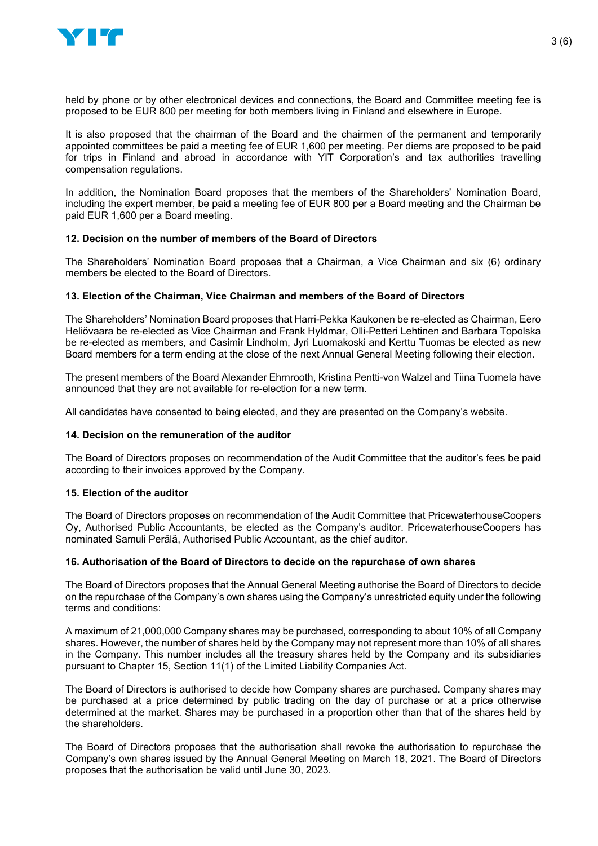

held by phone or by other electronical devices and connections, the Board and Committee meeting fee is proposed to be EUR 800 per meeting for both members living in Finland and elsewhere in Europe.

It is also proposed that the chairman of the Board and the chairmen of the permanent and temporarily appointed committees be paid a meeting fee of EUR 1,600 per meeting. Per diems are proposed to be paid for trips in Finland and abroad in accordance with YIT Corporation's and tax authorities travelling compensation regulations.

In addition, the Nomination Board proposes that the members of the Shareholders' Nomination Board, including the expert member, be paid a meeting fee of EUR 800 per a Board meeting and the Chairman be paid EUR 1,600 per a Board meeting.

# **12. Decision on the number of members of the Board of Directors**

The Shareholders' Nomination Board proposes that a Chairman, a Vice Chairman and six (6) ordinary members be elected to the Board of Directors.

#### **13. Election of the Chairman, Vice Chairman and members of the Board of Directors**

The Shareholders' Nomination Board proposes that Harri-Pekka Kaukonen be re-elected as Chairman, Eero Heliövaara be re-elected as Vice Chairman and Frank Hyldmar, Olli-Petteri Lehtinen and Barbara Topolska be re-elected as members, and Casimir Lindholm, Jyri Luomakoski and Kerttu Tuomas be elected as new Board members for a term ending at the close of the next Annual General Meeting following their election.

The present members of the Board Alexander Ehrnrooth, Kristina Pentti-von Walzel and Tiina Tuomela have announced that they are not available for re-election for a new term.

All candidates have consented to being elected, and they are presented on the Company's website.

#### **14. Decision on the remuneration of the auditor**

The Board of Directors proposes on recommendation of the Audit Committee that the auditor's fees be paid according to their invoices approved by the Company.

#### **15. Election of the auditor**

The Board of Directors proposes on recommendation of the Audit Committee that PricewaterhouseCoopers Oy, Authorised Public Accountants, be elected as the Company's auditor. PricewaterhouseCoopers has nominated Samuli Perälä, Authorised Public Accountant, as the chief auditor.

#### **16. Authorisation of the Board of Directors to decide on the repurchase of own shares**

The Board of Directors proposes that the Annual General Meeting authorise the Board of Directors to decide on the repurchase of the Company's own shares using the Company's unrestricted equity under the following terms and conditions:

A maximum of 21,000,000 Company shares may be purchased, corresponding to about 10% of all Company shares. However, the number of shares held by the Company may not represent more than 10% of all shares in the Company. This number includes all the treasury shares held by the Company and its subsidiaries pursuant to Chapter 15, Section 11(1) of the Limited Liability Companies Act.

The Board of Directors is authorised to decide how Company shares are purchased. Company shares may be purchased at a price determined by public trading on the day of purchase or at a price otherwise determined at the market. Shares may be purchased in a proportion other than that of the shares held by the shareholders.

The Board of Directors proposes that the authorisation shall revoke the authorisation to repurchase the Company's own shares issued by the Annual General Meeting on March 18, 2021. The Board of Directors proposes that the authorisation be valid until June 30, 2023.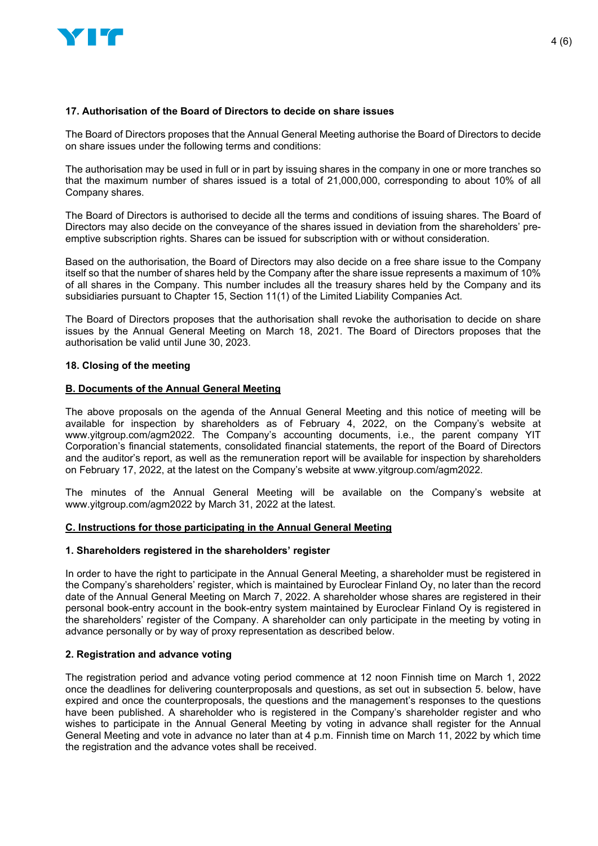

### **17. Authorisation of the Board of Directors to decide on share issues**

The Board of Directors proposes that the Annual General Meeting authorise the Board of Directors to decide on share issues under the following terms and conditions:

The authorisation may be used in full or in part by issuing shares in the company in one or more tranches so that the maximum number of shares issued is a total of 21,000,000, corresponding to about 10% of all Company shares.

The Board of Directors is authorised to decide all the terms and conditions of issuing shares. The Board of Directors may also decide on the conveyance of the shares issued in deviation from the shareholders' preemptive subscription rights. Shares can be issued for subscription with or without consideration.

Based on the authorisation, the Board of Directors may also decide on a free share issue to the Company itself so that the number of shares held by the Company after the share issue represents a maximum of 10% of all shares in the Company. This number includes all the treasury shares held by the Company and its subsidiaries pursuant to Chapter 15, Section 11(1) of the Limited Liability Companies Act.

The Board of Directors proposes that the authorisation shall revoke the authorisation to decide on share issues by the Annual General Meeting on March 18, 2021. The Board of Directors proposes that the authorisation be valid until June 30, 2023.

#### **18. Closing of the meeting**

#### **B. Documents of the Annual General Meeting**

The above proposals on the agenda of the Annual General Meeting and this notice of meeting will be available for inspection by shareholders as of February 4, 2022, on the Company's website at www.yitgroup.com/agm2022. The Company's accounting documents, i.e., the parent company YIT Corporation's financial statements, consolidated financial statements, the report of the Board of Directors and the auditor's report, as well as the remuneration report will be available for inspection by shareholders on February 17, 2022, at the latest on the Company's website at www.yitgroup.com/agm2022.

The minutes of the Annual General Meeting will be available on the Company's website at www.yitgroup.com/agm2022 by March 31, 2022 at the latest.

#### **C. Instructions for those participating in the Annual General Meeting**

#### **1. Shareholders registered in the shareholders' register**

In order to have the right to participate in the Annual General Meeting, a shareholder must be registered in the Company's shareholders' register, which is maintained by Euroclear Finland Oy, no later than the record date of the Annual General Meeting on March 7, 2022. A shareholder whose shares are registered in their personal book-entry account in the book-entry system maintained by Euroclear Finland Oy is registered in the shareholders' register of the Company. A shareholder can only participate in the meeting by voting in advance personally or by way of proxy representation as described below.

# **2. Registration and advance voting**

The registration period and advance voting period commence at 12 noon Finnish time on March 1, 2022 once the deadlines for delivering counterproposals and questions, as set out in subsection 5. below, have expired and once the counterproposals, the questions and the management's responses to the questions have been published. A shareholder who is registered in the Company's shareholder register and who wishes to participate in the Annual General Meeting by voting in advance shall register for the Annual General Meeting and vote in advance no later than at 4 p.m. Finnish time on March 11, 2022 by which time the registration and the advance votes shall be received.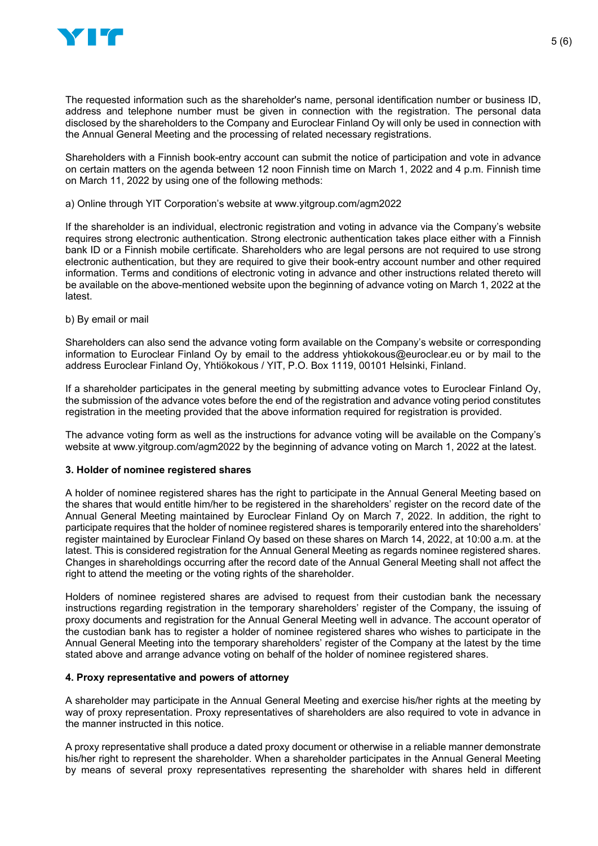

The requested information such as the shareholder's name, personal identification number or business ID, address and telephone number must be given in connection with the registration. The personal data disclosed by the shareholders to the Company and Euroclear Finland Oy will only be used in connection with the Annual General Meeting and the processing of related necessary registrations.

Shareholders with a Finnish book-entry account can submit the notice of participation and vote in advance on certain matters on the agenda between 12 noon Finnish time on March 1, 2022 and 4 p.m. Finnish time on March 11, 2022 by using one of the following methods:

### a) Online through YIT Corporation's website at www.yitgroup.com/agm2022

If the shareholder is an individual, electronic registration and voting in advance via the Company's website requires strong electronic authentication. Strong electronic authentication takes place either with a Finnish bank ID or a Finnish mobile certificate. Shareholders who are legal persons are not required to use strong electronic authentication, but they are required to give their book-entry account number and other required information. Terms and conditions of electronic voting in advance and other instructions related thereto will be available on the above-mentioned website upon the beginning of advance voting on March 1, 2022 at the latest.

### b) By email or mail

Shareholders can also send the advance voting form available on the Company's website or corresponding information to Euroclear Finland Oy by email to the address yhtiokokous@euroclear.eu or by mail to the address Euroclear Finland Oy, Yhtiökokous / YIT, P.O. Box 1119, 00101 Helsinki, Finland.

If a shareholder participates in the general meeting by submitting advance votes to Euroclear Finland Oy, the submission of the advance votes before the end of the registration and advance voting period constitutes registration in the meeting provided that the above information required for registration is provided.

The advance voting form as well as the instructions for advance voting will be available on the Company's website at www.yitgroup.com/agm2022 by the beginning of advance voting on March 1, 2022 at the latest.

#### **3. Holder of nominee registered shares**

A holder of nominee registered shares has the right to participate in the Annual General Meeting based on the shares that would entitle him/her to be registered in the shareholders' register on the record date of the Annual General Meeting maintained by Euroclear Finland Oy on March 7, 2022. In addition, the right to participate requires that the holder of nominee registered shares is temporarily entered into the shareholders' register maintained by Euroclear Finland Oy based on these shares on March 14, 2022, at 10:00 a.m. at the latest. This is considered registration for the Annual General Meeting as regards nominee registered shares. Changes in shareholdings occurring after the record date of the Annual General Meeting shall not affect the right to attend the meeting or the voting rights of the shareholder.

Holders of nominee registered shares are advised to request from their custodian bank the necessary instructions regarding registration in the temporary shareholders' register of the Company, the issuing of proxy documents and registration for the Annual General Meeting well in advance. The account operator of the custodian bank has to register a holder of nominee registered shares who wishes to participate in the Annual General Meeting into the temporary shareholders' register of the Company at the latest by the time stated above and arrange advance voting on behalf of the holder of nominee registered shares.

#### **4. Proxy representative and powers of attorney**

A shareholder may participate in the Annual General Meeting and exercise his/her rights at the meeting by way of proxy representation. Proxy representatives of shareholders are also required to vote in advance in the manner instructed in this notice.

A proxy representative shall produce a dated proxy document or otherwise in a reliable manner demonstrate his/her right to represent the shareholder. When a shareholder participates in the Annual General Meeting by means of several proxy representatives representing the shareholder with shares held in different